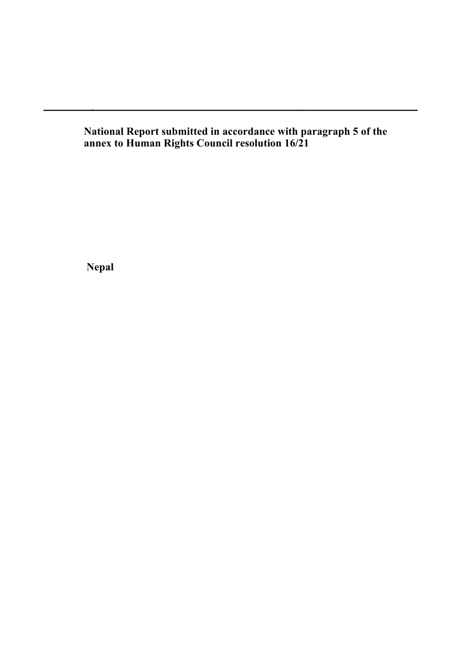**National Report submitted in accordance with paragraph 5 of the annex to Human Rights Council resolution 16/21**

**Nepal**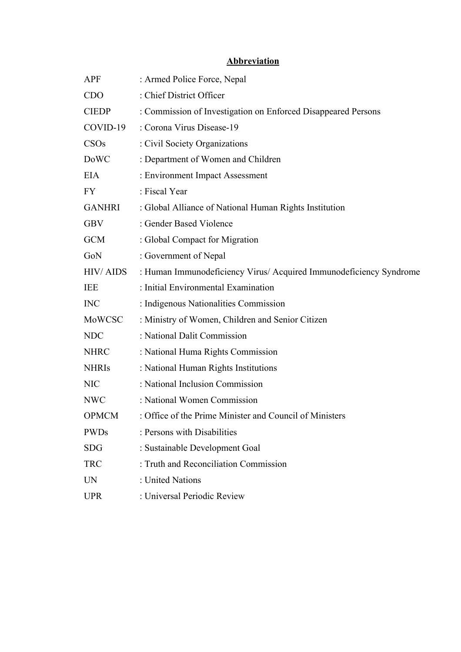#### **Abbreviation**

| <b>APF</b>       | : Armed Police Force, Nepal                                        |
|------------------|--------------------------------------------------------------------|
| <b>CDO</b>       | : Chief District Officer                                           |
| <b>CIEDP</b>     | : Commission of Investigation on Enforced Disappeared Persons      |
| COVID-19         | : Corona Virus Disease-19                                          |
| CSO <sub>s</sub> | : Civil Society Organizations                                      |
| <b>DoWC</b>      | : Department of Women and Children                                 |
| <b>EIA</b>       | : Environment Impact Assessment                                    |
| FY.              | : Fiscal Year                                                      |
| <b>GANHRI</b>    | : Global Alliance of National Human Rights Institution             |
| <b>GBV</b>       | : Gender Based Violence                                            |
| <b>GCM</b>       | : Global Compact for Migration                                     |
| GoN              | : Government of Nepal                                              |
| <b>HIV/AIDS</b>  | : Human Immunodeficiency Virus/ Acquired Immunodeficiency Syndrome |
| IEE              | : Initial Environmental Examination                                |
| <b>INC</b>       | : Indigenous Nationalities Commission                              |
| MoWCSC           | : Ministry of Women, Children and Senior Citizen                   |
| <b>NDC</b>       | : National Dalit Commission                                        |
| <b>NHRC</b>      | : National Huma Rights Commission                                  |
| <b>NHRIs</b>     | : National Human Rights Institutions                               |
| <b>NIC</b>       | : National Inclusion Commission                                    |
| <b>NWC</b>       | : National Women Commission                                        |
| <b>OPMCM</b>     | : Office of the Prime Minister and Council of Ministers            |
| <b>PWDs</b>      | : Persons with Disabilities                                        |
| <b>SDG</b>       | : Sustainable Development Goal                                     |
| <b>TRC</b>       | : Truth and Reconciliation Commission                              |
| <b>UN</b>        | : United Nations                                                   |
| <b>UPR</b>       | : Universal Periodic Review                                        |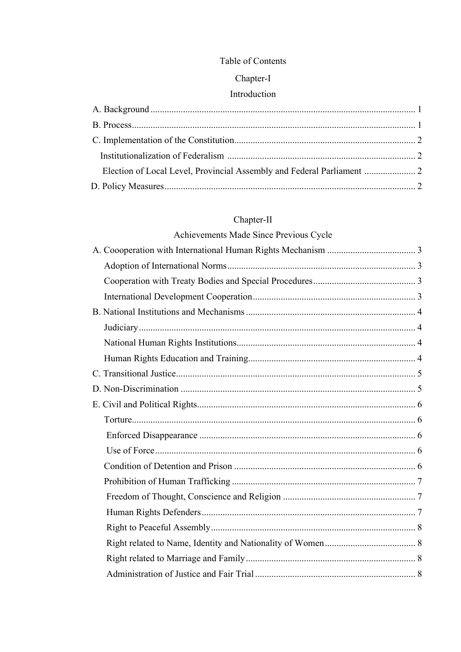#### Table of Contents

## Chapter-I

## Introduction

| Election of Local Level, Provincial Assembly and Federal Parliament  2 |  |
|------------------------------------------------------------------------|--|
|                                                                        |  |

## $Chapter-II$

# Achievements Made Since Previous Cycle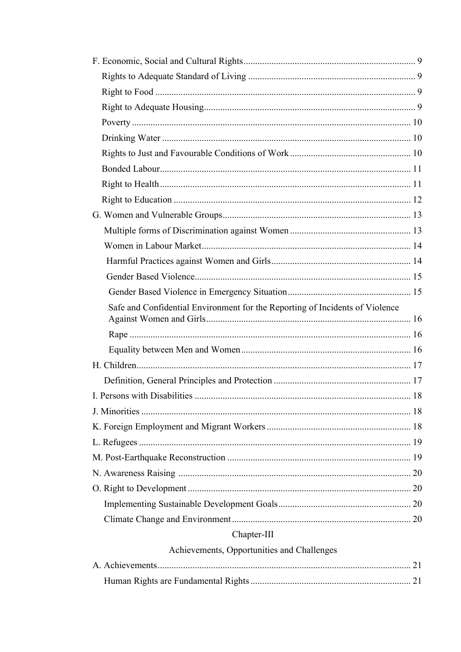| Safe and Confidential Environment for the Reporting of Incidents of Violence |  |
|------------------------------------------------------------------------------|--|
|                                                                              |  |
|                                                                              |  |
|                                                                              |  |
|                                                                              |  |
|                                                                              |  |
|                                                                              |  |
|                                                                              |  |
|                                                                              |  |
|                                                                              |  |
|                                                                              |  |
|                                                                              |  |
|                                                                              |  |
|                                                                              |  |
| Chapter-III                                                                  |  |
| Achievements, Opportunities and Challenges                                   |  |